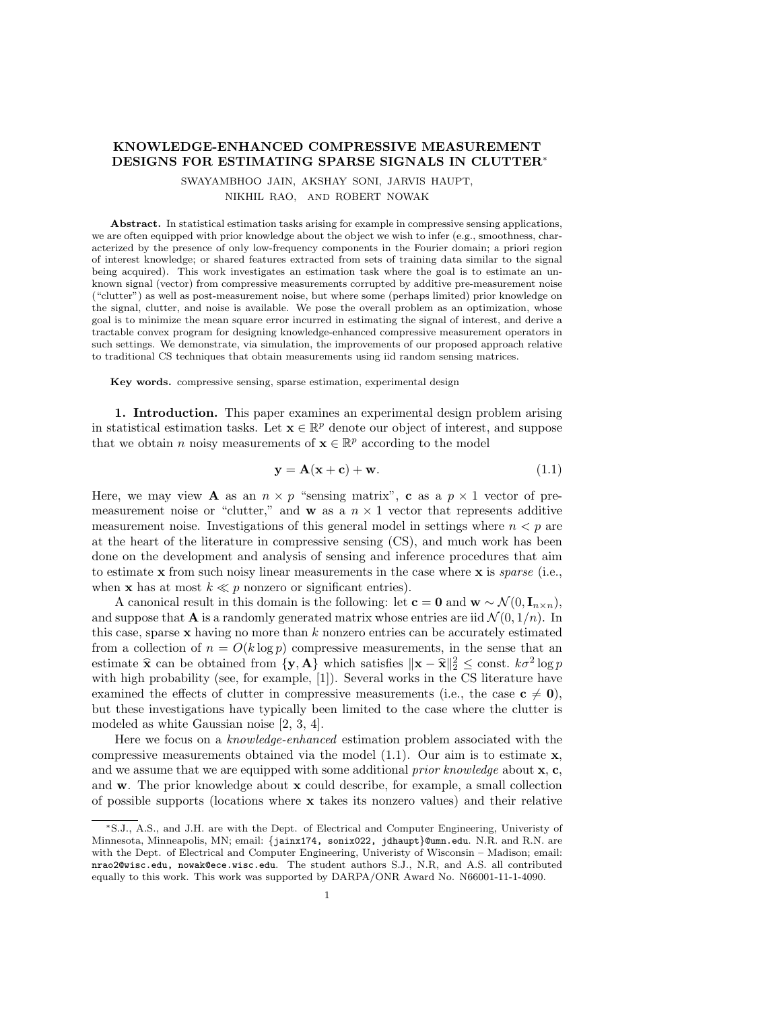## KNOWLEDGE-ENHANCED COMPRESSIVE MEASUREMENT DESIGNS FOR ESTIMATING SPARSE SIGNALS IN CLUTTER<sup>∗</sup>

SWAYAMBHOO JAIN, AKSHAY SONI, JARVIS HAUPT, NIKHIL RAO, AND ROBERT NOWAK

Abstract. In statistical estimation tasks arising for example in compressive sensing applications, we are often equipped with prior knowledge about the object we wish to infer (e.g., smoothness, characterized by the presence of only low-frequency components in the Fourier domain; a priori region of interest knowledge; or shared features extracted from sets of training data similar to the signal being acquired). This work investigates an estimation task where the goal is to estimate an unknown signal (vector) from compressive measurements corrupted by additive pre-measurement noise ("clutter") as well as post-measurement noise, but where some (perhaps limited) prior knowledge on the signal, clutter, and noise is available. We pose the overall problem as an optimization, whose goal is to minimize the mean square error incurred in estimating the signal of interest, and derive a tractable convex program for designing knowledge-enhanced compressive measurement operators in such settings. We demonstrate, via simulation, the improvements of our proposed approach relative to traditional CS techniques that obtain measurements using iid random sensing matrices.

Key words. compressive sensing, sparse estimation, experimental design

1. Introduction. This paper examines an experimental design problem arising in statistical estimation tasks. Let  $\mathbf{x} \in \mathbb{R}^p$  denote our object of interest, and suppose that we obtain n noisy measurements of  $\mathbf{x} \in \mathbb{R}^p$  according to the model

$$
\mathbf{y} = \mathbf{A}(\mathbf{x} + \mathbf{c}) + \mathbf{w}.\tag{1.1}
$$

Here, we may view **A** as an  $n \times p$  "sensing matrix", **c** as a  $p \times 1$  vector of premeasurement noise or "clutter," and **w** as a  $n \times 1$  vector that represents additive measurement noise. Investigations of this general model in settings where  $n < p$  are at the heart of the literature in compressive sensing (CS), and much work has been done on the development and analysis of sensing and inference procedures that aim to estimate **x** from such noisy linear measurements in the case where **x** is *sparse* (i.e., when **x** has at most  $k \ll p$  nonzero or significant entries).

A canonical result in this domain is the following: let  $\mathbf{c} = \mathbf{0}$  and  $\mathbf{w} \sim \mathcal{N}(0, \mathbf{I}_{n \times n})$ , and suppose that **A** is a randomly generated matrix whose entries are iid  $\mathcal{N}(0, 1/n)$ . In this case, sparse  $x$  having no more than  $k$  nonzero entries can be accurately estimated from a collection of  $n = O(k \log p)$  compressive measurements, in the sense that an estimate  $\hat{\mathbf{x}}$  can be obtained from  $\{\mathbf{y}, \mathbf{A}\}$  which satisfies  $\|\mathbf{x} - \hat{\mathbf{x}}\|_2^2 \le \text{const.} k\sigma^2 \log p$ <br>with high probability (see for example [1]). Sayonal works in the CS literature have with high probability (see, for example, [1]). Several works in the CS literature have examined the effects of clutter in compressive measurements (i.e., the case  $c \neq 0$ ), but these investigations have typically been limited to the case where the clutter is modeled as white Gaussian noise [2, 3, 4].

Here we focus on a knowledge-enhanced estimation problem associated with the compressive measurements obtained via the model  $(1.1)$ . Our aim is to estimate **x**, and we assume that we are equipped with some additional *prior knowledge* about  $x, c$ , and w. The prior knowledge about x could describe, for example, a small collection of possible supports (locations where  $x$  takes its nonzero values) and their relative

<sup>∗</sup>S.J., A.S., and J.H. are with the Dept. of Electrical and Computer Engineering, Univeristy of Minnesota, Minneapolis, MN; email: {jainx174, sonix022, jdhaupt}@umn.edu. N.R. and R.N. are with the Dept. of Electrical and Computer Engineering, Univeristy of Wisconsin – Madison; email: nrao2@wisc.edu, nowak@ece.wisc.edu. The student authors S.J., N.R, and A.S. all contributed equally to this work. This work was supported by DARPA/ONR Award No. N66001-11-1-4090.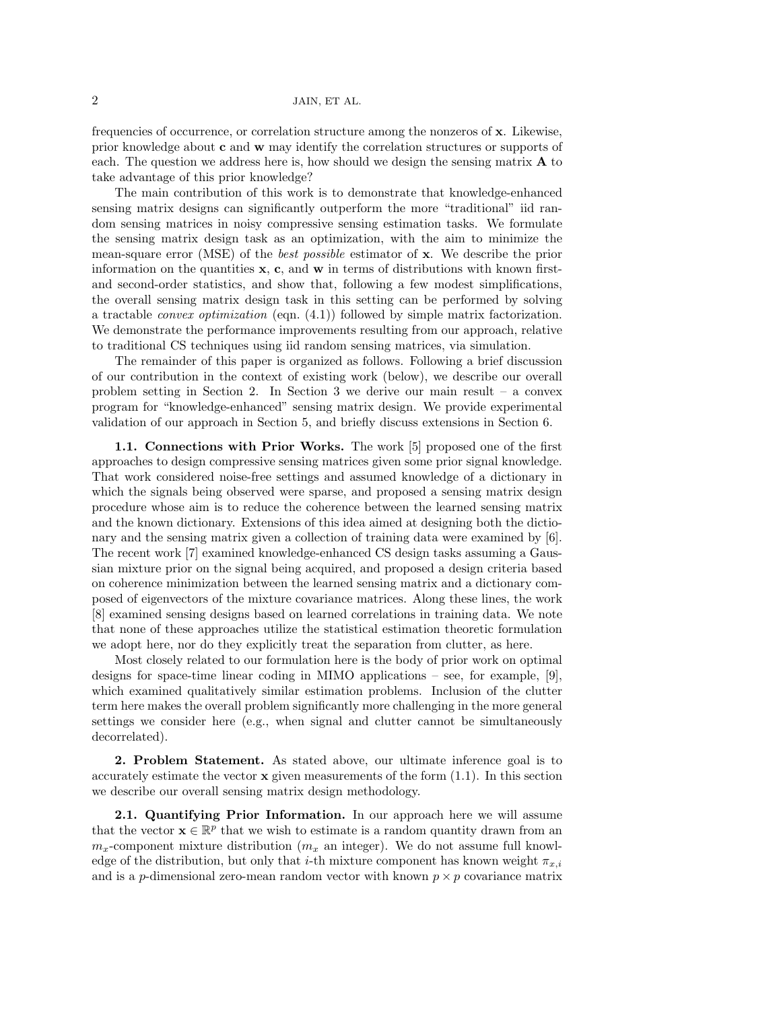2 JAIN, ET AL.

frequencies of occurrence, or correlation structure among the nonzeros of x. Likewise, prior knowledge about c and w may identify the correlation structures or supports of each. The question we address here is, how should we design the sensing matrix A to take advantage of this prior knowledge?

The main contribution of this work is to demonstrate that knowledge-enhanced sensing matrix designs can significantly outperform the more "traditional" iid random sensing matrices in noisy compressive sensing estimation tasks. We formulate the sensing matrix design task as an optimization, with the aim to minimize the mean-square error (MSE) of the best possible estimator of x. We describe the prior information on the quantities  $x$ ,  $c$ , and  $w$  in terms of distributions with known firstand second-order statistics, and show that, following a few modest simplifications, the overall sensing matrix design task in this setting can be performed by solving a tractable *convex optimization* (eqn.  $(4.1)$ ) followed by simple matrix factorization. We demonstrate the performance improvements resulting from our approach, relative to traditional CS techniques using iid random sensing matrices, via simulation.

The remainder of this paper is organized as follows. Following a brief discussion of our contribution in the context of existing work (below), we describe our overall problem setting in Section 2. In Section 3 we derive our main result – a convex program for "knowledge-enhanced" sensing matrix design. We provide experimental validation of our approach in Section 5, and briefly discuss extensions in Section 6.

1.1. Connections with Prior Works. The work [5] proposed one of the first approaches to design compressive sensing matrices given some prior signal knowledge. That work considered noise-free settings and assumed knowledge of a dictionary in which the signals being observed were sparse, and proposed a sensing matrix design procedure whose aim is to reduce the coherence between the learned sensing matrix and the known dictionary. Extensions of this idea aimed at designing both the dictionary and the sensing matrix given a collection of training data were examined by [6]. The recent work [7] examined knowledge-enhanced CS design tasks assuming a Gaussian mixture prior on the signal being acquired, and proposed a design criteria based on coherence minimization between the learned sensing matrix and a dictionary composed of eigenvectors of the mixture covariance matrices. Along these lines, the work [8] examined sensing designs based on learned correlations in training data. We note that none of these approaches utilize the statistical estimation theoretic formulation we adopt here, nor do they explicitly treat the separation from clutter, as here.

Most closely related to our formulation here is the body of prior work on optimal designs for space-time linear coding in MIMO applications – see, for example, [9], which examined qualitatively similar estimation problems. Inclusion of the clutter term here makes the overall problem significantly more challenging in the more general settings we consider here (e.g., when signal and clutter cannot be simultaneously decorrelated).

2. Problem Statement. As stated above, our ultimate inference goal is to accurately estimate the vector  $\bf{x}$  given measurements of the form  $(1.1)$ . In this section we describe our overall sensing matrix design methodology.

2.1. Quantifying Prior Information. In our approach here we will assume that the vector  $\mathbf{x} \in \mathbb{R}^p$  that we wish to estimate is a random quantity drawn from an  $m_x$ -component mixture distribution  $(m_x \text{ an integer})$ . We do not assume full knowledge of the distribution, but only that *i*-th mixture component has known weight  $\pi_{x,i}$ and is a p-dimensional zero-mean random vector with known  $p \times p$  covariance matrix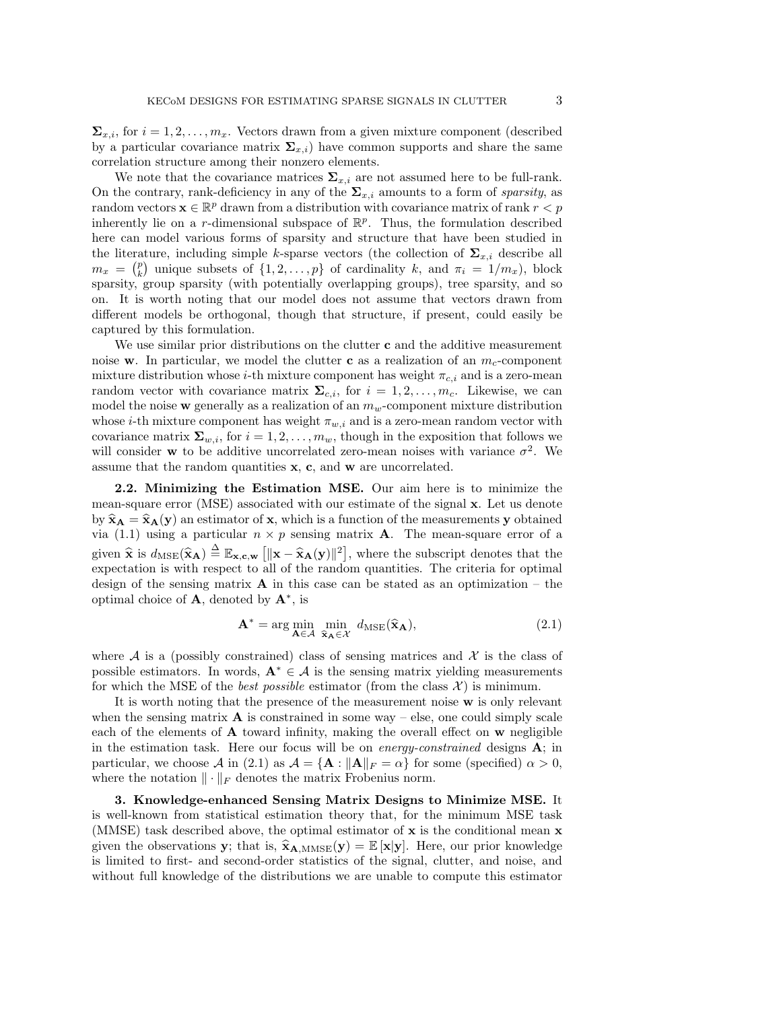$\Sigma_{x,i}$ , for  $i = 1, 2, \ldots, m_x$ . Vectors drawn from a given mixture component (described by a particular covariance matrix  $\Sigma_{x,i}$  have common supports and share the same correlation structure among their nonzero elements.

We note that the covariance matrices  $\Sigma_{x,i}$  are not assumed here to be full-rank. On the contrary, rank-deficiency in any of the  $\Sigma_{x,i}$  amounts to a form of sparsity, as random vectors  $\mathbf{x} \in \mathbb{R}^p$  drawn from a distribution with covariance matrix of rank  $r < p$ inherently lie on a r-dimensional subspace of  $\mathbb{R}^p$ . Thus, the formulation described here can model various forms of sparsity and structure that have been studied in the literature, including simple k-sparse vectors (the collection of  $\Sigma_{x,i}$  describe all  $m_x = \binom{p}{k}$  unique subsets of  $\{1, 2, \ldots, p\}$  of cardinality k, and  $\pi_i = \frac{1}{m_x}$ , block sparsity, group sparsity (with potentially overlapping groups), tree sparsity, and so on. It is worth noting that our model does not assume that vectors drawn from different models be orthogonal, though that structure, if present, could easily be captured by this formulation.

We use similar prior distributions on the clutter  $c$  and the additive measurement noise w. In particular, we model the clutter c as a realization of an  $m_c$ -component mixture distribution whose *i*-th mixture component has weight  $\pi_{c,i}$  and is a zero-mean random vector with covariance matrix  $\Sigma_{c,i}$ , for  $i = 1, 2, \ldots, m_c$ . Likewise, we can model the noise  $\bf{w}$  generally as a realization of an  $m_w$ -component mixture distribution whose *i*-th mixture component has weight  $\pi_{w,i}$  and is a zero-mean random vector with covariance matrix  $\Sigma_{w,i}$ , for  $i = 1, 2, \ldots, m_w$ , though in the exposition that follows we will consider **w** to be additive uncorrelated zero-mean noises with variance  $\sigma^2$ . We assume that the random quantities x, c, and w are uncorrelated.

2.2. Minimizing the Estimation MSE. Our aim here is to minimize the mean-square error (MSE) associated with our estimate of the signal x. Let us denote by  $\hat{\mathbf{x}}_A = \hat{\mathbf{x}}_A(\mathbf{y})$  an estimator of **x**, which is a function of the measurements **y** obtained via (1.1) using a particular  $n \times p$  sensing matrix **A**. The mean-square error of a given  $\hat{\mathbf{x}}$  is  $d_{\text{MSE}}(\hat{\mathbf{x}}_A) \stackrel{\Delta}{=} \mathbb{E}_{\mathbf{x},\mathbf{c},\mathbf{w}} [\|\mathbf{x}-\hat{\mathbf{x}}_A(\mathbf{y})\|^2]$ , where the subscript denotes that the expectation is with respect to all of the random quantities. The criteria for optimal design of the sensing matrix  $\bf{A}$  in this case can be stated as an optimization – the optimal choice of  $\mathbf{A}$ , denoted by  $\mathbf{A}^*$ , is

$$
\mathbf{A}^* = \arg\min_{\mathbf{A}\in\mathcal{A}} \min_{\hat{\mathbf{x}}_{\mathbf{A}}\in\mathcal{X}} d_{\mathrm{MSE}}(\hat{\mathbf{x}}_{\mathbf{A}}),
$$
(2.1)

where A is a (possibly constrained) class of sensing matrices and  $\mathcal X$  is the class of possible estimators. In words,  $\mathbf{A}^* \in \mathcal{A}$  is the sensing matrix yielding measurements for which the MSE of the *best possible* estimator (from the class  $\mathcal{X}$ ) is minimum.

It is worth noting that the presence of the measurement noise w is only relevant when the sensing matrix  $\bf{A}$  is constrained in some way – else, one could simply scale each of the elements of  $\bf{A}$  toward infinity, making the overall effect on  $\bf{w}$  negligible in the estimation task. Here our focus will be on *energy-constrained* designs  $\mathbf{A}$ ; in particular, we choose A in (2.1) as  $\mathcal{A} = \{A : ||A||_F = \alpha\}$  for some (specified)  $\alpha > 0$ , where the notation  $\|\cdot\|_F$  denotes the matrix Frobenius norm.

3. Knowledge-enhanced Sensing Matrix Designs to Minimize MSE. It is well-known from statistical estimation theory that, for the minimum MSE task (MMSE) task described above, the optimal estimator of  $\bf{x}$  is the conditional mean  $\bf{x}$ given the observations y; that is,  $\hat{\mathbf{x}}_{\mathbf{A},\text{MMSE}}(\mathbf{y}) = \mathbb{E}[\mathbf{x}|\mathbf{y}]$ . Here, our prior knowledge is limited to first- and second-order statistics of the signal, clutter, and noise, and without full knowledge of the distributions we are unable to compute this estimator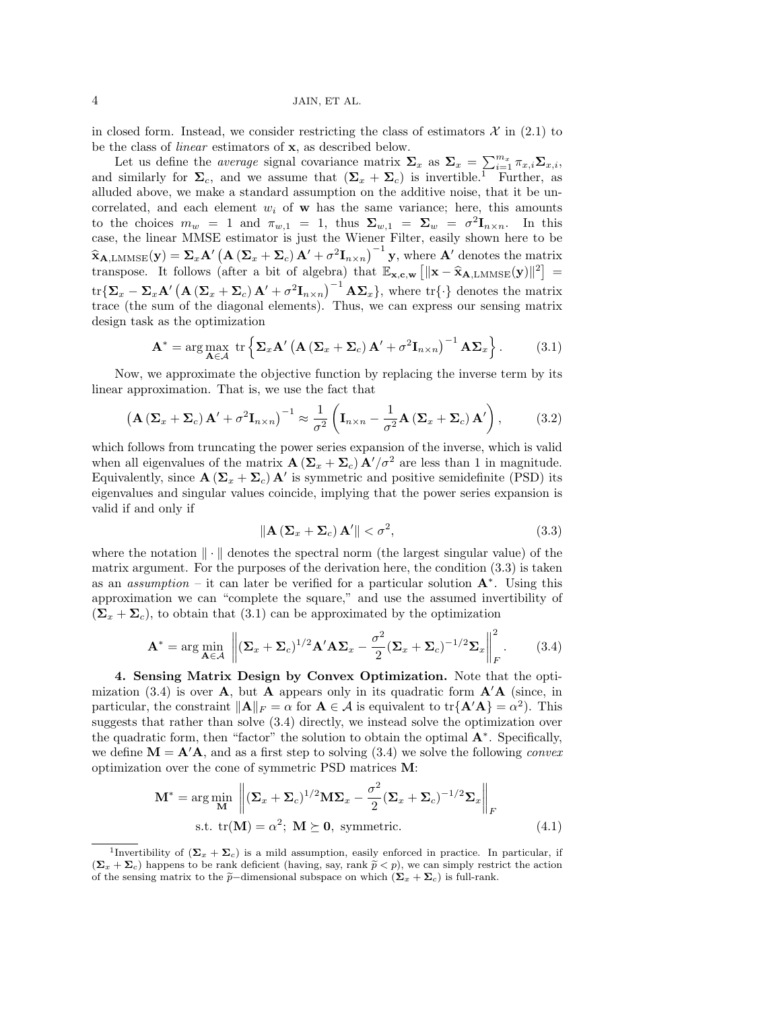4 JAIN, ET AL.

in closed form. Instead, we consider restricting the class of estimators  $\mathcal{X}$  in (2.1) to be the class of linear estimators of x, as described below.

Let us define the *average* signal covariance matrix  $\Sigma_x$  as  $\Sigma_x = \sum_{i=1}^{m_x} \pi_{x,i} \Sigma_{x,i}$ , and similarly for  $\Sigma_c$ , and we assume that  $(\Sigma_x + \Sigma_c)$  is invertible.<sup>1</sup> Further, as alluded above, we make a standard assumption on the additive noise, that it be uncorrelated, and each element  $w_i$  of **w** has the same variance; here, this amounts to the choices  $m_w = 1$  and  $\pi_{w,1} = 1$ , thus  $\Sigma_{w,1} = \Sigma_w = \sigma^2 \mathbf{I}_{n \times n}$ . In this case, the linear MMSE estimator is just the Wiener Filter, easily shown here to be  $\hat{\mathbf{x}}_{\mathbf{A},\text{LMMSE}}(\mathbf{y}) = \sum_{x} \mathbf{A}' \left( \mathbf{A} \left( \mathbf{\Sigma}_{x} + \mathbf{\Sigma}_{c} \right) \mathbf{A}' + \sigma^2 \mathbf{I}_{n \times n} \right)^{-1} \mathbf{y}$ , where  $\mathbf{A}'$  denotes the matrix transpose. It follows (after a bit of algebra) that  $\mathbb{E}_{\mathbf{x}, \mathbf{c}, \mathbf{w}} [\|\mathbf{x} - \hat{\mathbf{x}}_{\mathbf{A}, \text{LMMSE}}(\mathbf{y})\|^2] =$  $\text{tr}\{\mathbf{\Sigma}_x - \mathbf{\Sigma}_x \mathbf{A}' \left( \mathbf{A} \left( \mathbf{\Sigma}_x + \mathbf{\Sigma}_c \right) \mathbf{A}' + \sigma^2 \mathbf{I}_{n \times n} \right)^{-1} \mathbf{A} \mathbf{\Sigma}_x \}, \text{ where } \text{tr}\{\cdot\} \text{ denotes the matrix }$ trace (the sum of the diagonal elements). Thus, we can express our sensing matrix design task as the optimization

$$
\mathbf{A}^* = \arg \max_{\mathbf{A} \in \mathcal{A}} \text{ tr} \left\{ \mathbf{\Sigma}_x \mathbf{A}' \left( \mathbf{A} \left( \mathbf{\Sigma}_x + \mathbf{\Sigma}_c \right) \mathbf{A}' + \sigma^2 \mathbf{I}_{n \times n} \right)^{-1} \mathbf{A} \mathbf{\Sigma}_x \right\}. \tag{3.1}
$$

Now, we approximate the objective function by replacing the inverse term by its linear approximation. That is, we use the fact that

$$
\left(\mathbf{A}\left(\mathbf{\Sigma}_{x}+\mathbf{\Sigma}_{c}\right)\mathbf{A}^{\prime}+\sigma^{2}\mathbf{I}_{n\times n}\right)^{-1}\approx\frac{1}{\sigma^{2}}\left(\mathbf{I}_{n\times n}-\frac{1}{\sigma^{2}}\mathbf{A}\left(\mathbf{\Sigma}_{x}+\mathbf{\Sigma}_{c}\right)\mathbf{A}^{\prime}\right),\tag{3.2}
$$

which follows from truncating the power series expansion of the inverse, which is valid when all eigenvalues of the matrix  $\mathbf{A}(\Sigma_x + \Sigma_c) \mathbf{A}'/\sigma^2$  are less than 1 in magnitude. Equivalently, since  $\mathbf{A}(\Sigma_x + \Sigma_c) \mathbf{A}'$  is symmetric and positive semidefinite (PSD) its eigenvalues and singular values coincide, implying that the power series expansion is valid if and only if

$$
\|\mathbf{A}\left(\mathbf{\Sigma}_x + \mathbf{\Sigma}_c\right)\mathbf{A}'\| < \sigma^2,\tag{3.3}
$$

where the notation  $\|\cdot\|$  denotes the spectral norm (the largest singular value) of the matrix argument. For the purposes of the derivation here, the condition (3.3) is taken as an *assumption* – it can later be verified for a particular solution  $A^*$ . Using this approximation we can "complete the square," and use the assumed invertibility of  $(\Sigma_x + \Sigma_c)$ , to obtain that (3.1) can be approximated by the optimization

$$
\mathbf{A}^* = \arg\min_{\mathbf{A}\in\mathcal{A}} \left\| (\mathbf{\Sigma}_x + \mathbf{\Sigma}_c)^{1/2} \mathbf{A}' \mathbf{A} \mathbf{\Sigma}_x - \frac{\sigma^2}{2} (\mathbf{\Sigma}_x + \mathbf{\Sigma}_c)^{-1/2} \mathbf{\Sigma}_x \right\|_F^2.
$$
 (3.4)

4. Sensing Matrix Design by Convex Optimization. Note that the optimization (3.4) is over **A**, but **A** appears only in its quadratic form  $\mathbf{A}'\mathbf{A}$  (since, in particular, the constraint  $\|\mathbf{A}\|_F = \alpha$  for  $\mathbf{A} \in \mathcal{A}$  is equivalent to  $\text{tr}\{\mathbf{A}'\mathbf{A}\} = \alpha^2$ . This suggests that rather than solve (3.4) directly, we instead solve the optimization over the quadratic form, then "factor" the solution to obtain the optimal  $A^*$ . Specifically, we define  $\mathbf{M} = \mathbf{A}'\mathbf{A}$ , and as a first step to solving (3.4) we solve the following convex optimization over the cone of symmetric PSD matrices M:

$$
\mathbf{M}^* = \arg\min_{\mathbf{M}} \left\| (\mathbf{\Sigma}_x + \mathbf{\Sigma}_c)^{1/2} \mathbf{M} \mathbf{\Sigma}_x - \frac{\sigma^2}{2} (\mathbf{\Sigma}_x + \mathbf{\Sigma}_c)^{-1/2} \mathbf{\Sigma}_x \right\|_F
$$
  
s.t.  $\text{tr}(\mathbf{M}) = \alpha^2$ ;  $\mathbf{M} \succeq \mathbf{0}$ , symmetric. (4.1)

<sup>&</sup>lt;sup>1</sup>Invertibility of  $(\mathbf{\Sigma}_{x} + \mathbf{\Sigma}_{c})$  is a mild assumption, easily enforced in practice. In particular, if  $(\Sigma_x + \Sigma_c)$  happens to be rank deficient (having, say, rank  $\tilde{p} < p$ ), we can simply restrict the action of the sensing matrix to the  $\tilde{p}$ –dimensional subspace on which  $(\Sigma_x + \Sigma_c)$  is full-rank.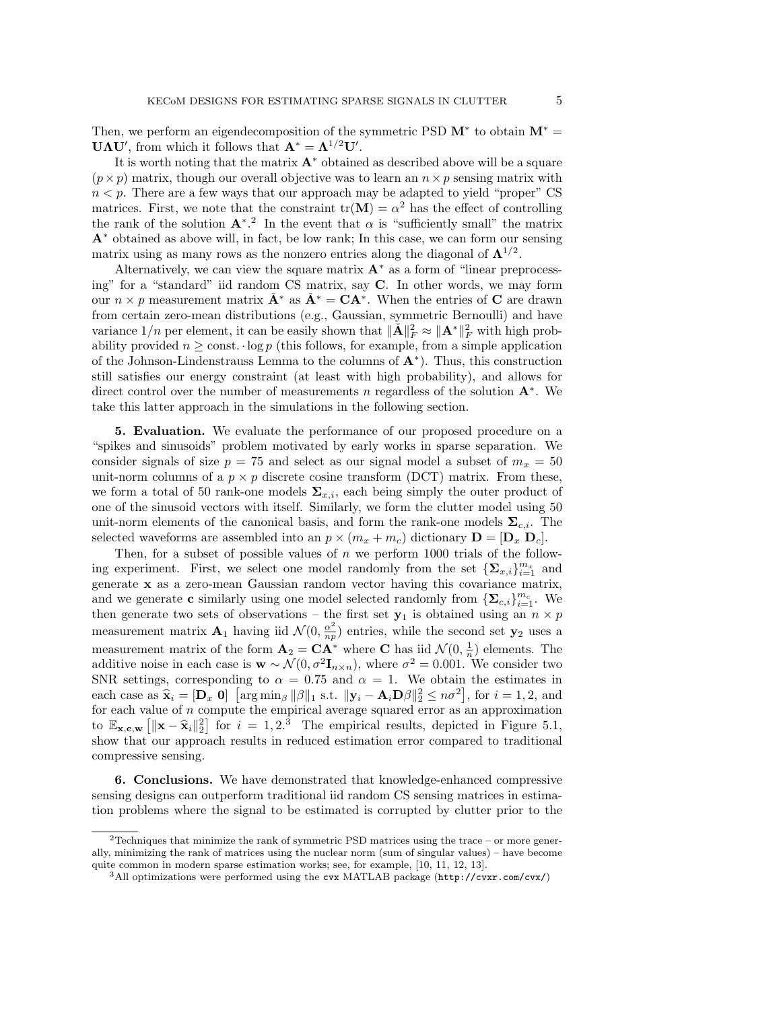Then, we perform an eigendecomposition of the symmetric PSD  $M^*$  to obtain  $M^* =$ **UAU'**, from which it follows that  $\mathbf{A}^* = \mathbf{\Lambda}^{1/2} \mathbf{U}'$ .

It is worth noting that the matrix  $A^*$  obtained as described above will be a square  $(p \times p)$  matrix, though our overall objective was to learn an  $n \times p$  sensing matrix with  $n < p$ . There are a few ways that our approach may be adapted to yield "proper" CS matrices. First, we note that the constraint  $tr(M) = \alpha^2$  has the effect of controlling the rank of the solution  $A^*$ <sup>2</sup>. In the event that  $\alpha$  is "sufficiently small" the matrix A<sup>∗</sup> obtained as above will, in fact, be low rank; In this case, we can form our sensing matrix using as many rows as the nonzero entries along the diagonal of  $\Lambda^{1/2}$ .

Alternatively, we can view the square matrix  $A^*$  as a form of "linear preprocessing" for a "standard" iid random CS matrix, say C. In other words, we may form our  $n \times p$  measurement matrix  $\check{A}^*$  as  $\check{A}^* = CA^*$ . When the entries of C are drawn from certain zero-mean distributions (e.g., Gaussian, symmetric Bernoulli) and have variance  $1/n$  per element, it can be easily shown that  $\|\check{A}\|_F^2 \approx \|A^*\|_F^2$  with high probability provided  $n \geq$  const.  $\log p$  (this follows, for example, from a simple application of the Johnson-Lindenstrauss Lemma to the columns of  $A^*$ ). Thus, this construction still satisfies our energy constraint (at least with high probability), and allows for direct control over the number of measurements n regardless of the solution  $A^*$ . We take this latter approach in the simulations in the following section.

5. Evaluation. We evaluate the performance of our proposed procedure on a "spikes and sinusoids" problem motivated by early works in sparse separation. We consider signals of size  $p = 75$  and select as our signal model a subset of  $m_x = 50$ unit-norm columns of a  $p \times p$  discrete cosine transform (DCT) matrix. From these, we form a total of 50 rank-one models  $\Sigma_{x,i}$ , each being simply the outer product of one of the sinusoid vectors with itself. Similarly, we form the clutter model using 50 unit-norm elements of the canonical basis, and form the rank-one models  $\Sigma_{c,i}$ . The selected waveforms are assembled into an  $p \times (m_x + m_c)$  dictionary  $\mathbf{D} = [\mathbf{D}_x \ \mathbf{D}_c]$ .

Then, for a subset of possible values of  $n$  we perform 1000 trials of the following experiment. First, we select one model randomly from the set  $\{\mathbf\Sigma_{x,i}\}_{i=1}^{m_x}$  and generate x as a zero-mean Gaussian random vector having this covariance matrix, and we generate **c** similarly using one model selected randomly from  $\{\mathbf{\Sigma}_{c,i}\}_{i=1}^{m_c}$ . We then generate two sets of observations – the first set  $y_1$  is obtained using an  $n \times p$ measurement matrix  $\mathbf{A}_1$  having iid  $\mathcal{N}(0, \frac{\alpha^2}{nn})$  $\frac{\alpha^2}{np}$ ) entries, while the second set  $y_2$  uses a measurement matrix of the form  $\mathbf{A}_2 = \mathbf{C} \mathbf{A}^*$  where **C** has iid  $\mathcal{N}(0, \frac{1}{n})$  elements. The additive noise in each case is  $\mathbf{w} \sim \mathcal{N}(0, \sigma^2 \mathbf{I}_{n \times n})$ , where  $\sigma^2 = 0.001$ . We consider two SNR settings, corresponding to  $\alpha = 0.75$  and  $\alpha = 1$ . We obtain the estimates in each case as  $\hat{\mathbf{x}}_i = [\mathbf{D}_x \ \mathbf{0}]$  [arg min<sub>β</sub> ||β||<sub>1</sub> s.t.  $\|\mathbf{y}_i - \mathbf{A}_i \mathbf{D}\beta\|_2^2 \le n\sigma^2$ ], for  $i = 1, 2$ , and for each value of n compute the empirical average squared error as an approximation for each value of n compute the empirical average squared error as an approximation to  $\mathbb{E}_{\mathbf{x},\mathbf{c},\mathbf{w}} \left[ \|\mathbf{x}-\hat{\mathbf{x}}_i\|^2_2 \right]$  for  $i=1,2,3$  The empirical results, depicted in Figure 5.1, show that our approach results in reduced estimation error compared to traditional compressive sensing.

6. Conclusions. We have demonstrated that knowledge-enhanced compressive sensing designs can outperform traditional iid random CS sensing matrices in estimation problems where the signal to be estimated is corrupted by clutter prior to the

 $^2$  Techniques that minimize the rank of symmetric PSD matrices using the trace – or more generally, minimizing the rank of matrices using the nuclear norm (sum of singular values) – have become quite common in modern sparse estimation works; see, for example, [10, 11, 12, 13].

 $3$ All optimizations were performed using the cvx MATLAB package (http://cvxr.com/cvx/)